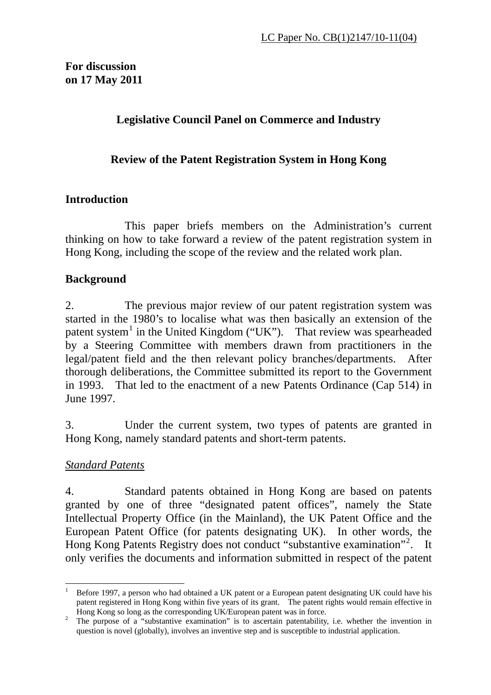### **Legislative Council Panel on Commerce and Industry**

### **Review of the Patent Registration System in Hong Kong**

### **Introduction**

 This paper briefs members on the Administration's current thinking on how to take forward a review of the patent registration system in Hong Kong, including the scope of the review and the related work plan.

#### **Background**

2. The previous major review of our patent registration system was started in the 1980's to localise what was then basically an extension of the patent system<sup>[1](#page-0-0)</sup> in the United Kingdom ("UK"). That review was spearheaded by a Steering Committee with members drawn from practitioners in the legal/patent field and the then relevant policy branches/departments. After thorough deliberations, the Committee submitted its report to the Government in 1993. That led to the enactment of a new Patents Ordinance (Cap 514) in June 1997.

3. Under the current system, two types of patents are granted in Hong Kong, namely standard patents and short-term patents.

#### *Standard Patents*

4. Standard patents obtained in Hong Kong are based on patents granted by one of three "designated patent offices", namely the State Intellectual Property Office (in the Mainland), the UK Patent Office and the European Patent Office (for patents designating UK). In other words, the Hong Kong Patents Registry does not conduct "substantive examination"<sup>[2](#page-0-1)</sup>. It only verifies the documents and information submitted in respect of the patent

<span id="page-0-0"></span> $\overline{a}$ 1 Before 1997, a person who had obtained a UK patent or a European patent designating UK could have his patent registered in Hong Kong within five years of its grant. The patent rights would remain effective in Hong Kong so long as the corresponding UK/European patent was in force.<br><sup>2</sup> The nurness of a "substantive examination" is to assortein patentability.

<span id="page-0-1"></span>The purpose of a "substantive examination" is to ascertain patentability, i.e. whether the invention in question is novel (globally), involves an inventive step and is susceptible to industrial application.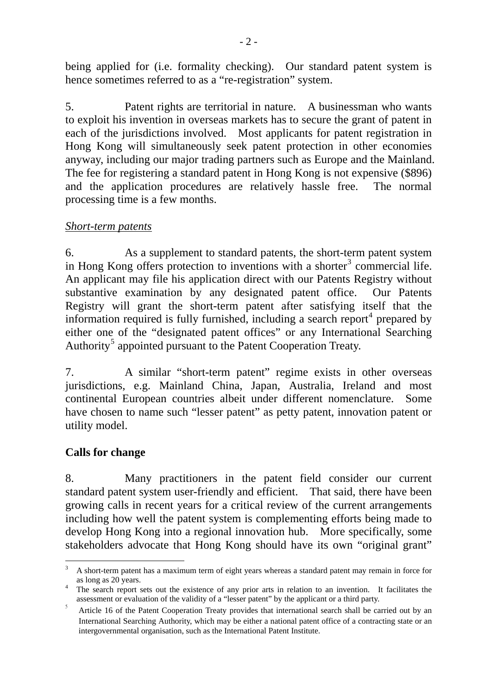being applied for (i.e. formality checking). Our standard patent system is hence sometimes referred to as a "re-registration" system.

5. Patent rights are territorial in nature. A businessman who wants to exploit his invention in overseas markets has to secure the grant of patent in each of the jurisdictions involved. Most applicants for patent registration in Hong Kong will simultaneously seek patent protection in other economies anyway, including our major trading partners such as Europe and the Mainland. The fee for registering a standard patent in Hong Kong is not expensive (\$896) and the application procedures are relatively hassle free. The normal processing time is a few months.

#### *Short-term patents*

6. As a supplement to standard patents, the short-term patent system in Hong Kong offers protection to inventions with a shorter<sup>[3](#page-1-0)</sup> commercial life. An applicant may file his application direct with our Patents Registry without substantive examination by any designated patent office. Our Patents Registry will grant the short-term patent after satisfying itself that the information required is fully furnished, including a search report<sup>[4](#page-1-1)</sup> prepared by either one of the "designated patent offices" or any International Searching Authority<sup>[5](#page-1-2)</sup> appointed pursuant to the Patent Cooperation Treaty.

7. A similar "short-term patent" regime exists in other overseas jurisdictions, e.g. Mainland China, Japan, Australia, Ireland and most continental European countries albeit under different nomenclature. Some have chosen to name such "lesser patent" as petty patent, innovation patent or utility model.

#### **Calls for change**

8. Many practitioners in the patent field consider our current standard patent system user-friendly and efficient. That said, there have been growing calls in recent years for a critical review of the current arrangements including how well the patent system is complementing efforts being made to develop Hong Kong into a regional innovation hub. More specifically, some stakeholders advocate that Hong Kong should have its own "original grant"

<span id="page-1-0"></span><sup>&</sup>lt;sup>2</sup><br>3 A short-term patent has a maximum term of eight years whereas a standard patent may remain in force for as long as 20 years.<br> $\frac{4}{1}$  The search report s

<span id="page-1-1"></span>The search report sets out the existence of any prior arts in relation to an invention. It facilitates the assessment or evaluation of the validity of a "lesser patent" by the applicant or a third party.

<span id="page-1-2"></span><sup>5</sup> Article 16 of the Patent Cooperation Treaty provides that international search shall be carried out by an International Searching Authority, which may be either a national patent office of a contracting state or an intergovernmental organisation, such as the International Patent Institute.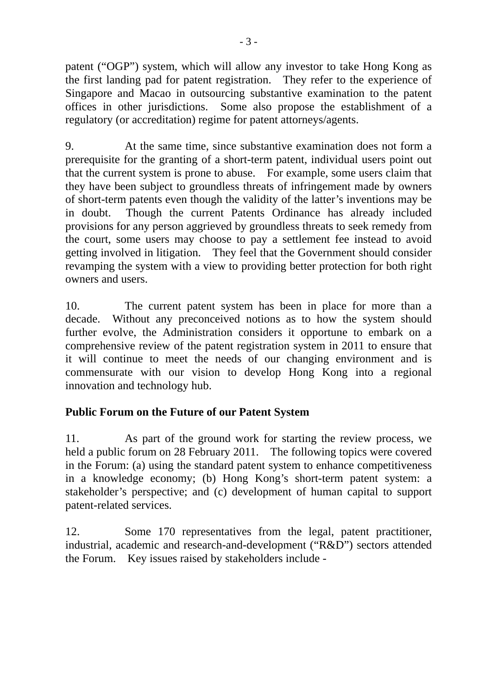patent ("OGP") system, which will allow any investor to take Hong Kong as the first landing pad for patent registration. They refer to the experience of Singapore and Macao in outsourcing substantive examination to the patent offices in other jurisdictions. Some also propose the establishment of a regulatory (or accreditation) regime for patent attorneys/agents.

9. At the same time, since substantive examination does not form a prerequisite for the granting of a short-term patent, individual users point out that the current system is prone to abuse. For example, some users claim that they have been subject to groundless threats of infringement made by owners of short-term patents even though the validity of the latter's inventions may be in doubt. Though the current Patents Ordinance has already included provisions for any person aggrieved by groundless threats to seek remedy from the court, some users may choose to pay a settlement fee instead to avoid getting involved in litigation. They feel that the Government should consider revamping the system with a view to providing better protection for both right owners and users.

10. The current patent system has been in place for more than a decade. Without any preconceived notions as to how the system should further evolve, the Administration considers it opportune to embark on a comprehensive review of the patent registration system in 2011 to ensure that it will continue to meet the needs of our changing environment and is commensurate with our vision to develop Hong Kong into a regional innovation and technology hub.

# **Public Forum on the Future of our Patent System**

11. As part of the ground work for starting the review process, we held a public forum on 28 February 2011. The following topics were covered in the Forum: (a) using the standard patent system to enhance competitiveness in a knowledge economy; (b) Hong Kong's short-term patent system: a stakeholder's perspective; and (c) development of human capital to support patent-related services.

12. Some 170 representatives from the legal, patent practitioner, industrial, academic and research-and-development ("R&D") sectors attended the Forum. Key issues raised by stakeholders include -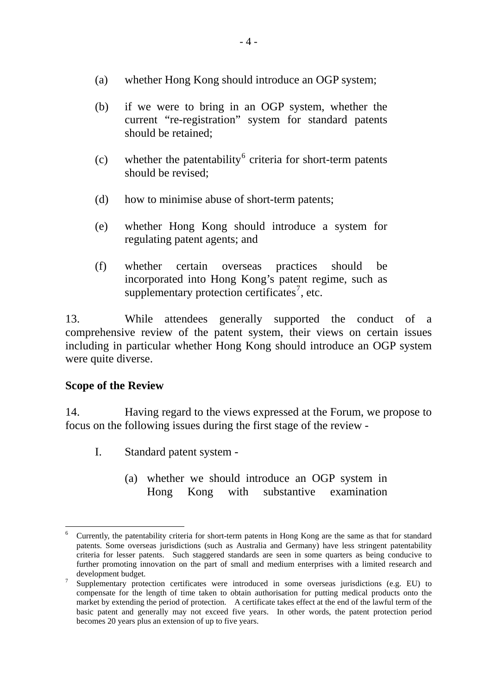- (a) whether Hong Kong should introduce an OGP system;
- (b) if we were to bring in an OGP system, whether the current "re-registration" system for standard patents should be retained;
- (c) whether the patentability<sup>[6](#page-3-0)</sup> criteria for short-term patents should be revised;
- (d) how to minimise abuse of short-term patents;
- (e) whether Hong Kong should introduce a system for regulating patent agents; and
- (f) whether certain overseas practices should be incorporated into Hong Kong's patent regime, such as supplementary protection certificates<sup>[7](#page-3-1)</sup>, etc.

13. While attendees generally supported the conduct of a comprehensive review of the patent system, their views on certain issues including in particular whether Hong Kong should introduce an OGP system were quite diverse.

# **Scope of the Review**

14. Having regard to the views expressed at the Forum, we propose to focus on the following issues during the first stage of the review -

- I. Standard patent system
	- (a) whether we should introduce an OGP system in Hong Kong with substantive examination

<span id="page-3-0"></span> $\overline{a}$ 6 Currently, the patentability criteria for short-term patents in Hong Kong are the same as that for standard patents. Some overseas jurisdictions (such as Australia and Germany) have less stringent patentability criteria for lesser patents. Such staggered standards are seen in some quarters as being conducive to further promoting innovation on the part of small and medium enterprises with a limited research and  $\frac{d}{\text{evelopment } \text{mylogent}}$ 

<span id="page-3-1"></span>Supplementary protection certificates were introduced in some overseas jurisdictions (e.g. EU) to compensate for the length of time taken to obtain authorisation for putting medical products onto the market by extending the period of protection. A certificate takes effect at the end of the lawful term of the basic patent and generally may not exceed five years. In other words, the patent protection period becomes 20 years plus an extension of up to five years.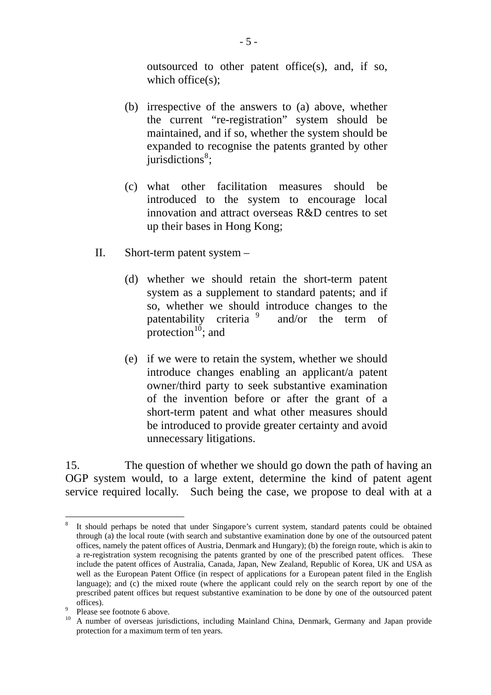outsourced to other patent office(s), and, if so, which office(s);

- (b) irrespective of the answers to (a) above, whether the current "re-registration" system should be maintained, and if so, whether the system should be expanded to recognise the patents granted by other jurisdictions<sup>[8](#page-4-0)</sup>;
- (c) what other facilitation measures should be introduced to the system to encourage local innovation and attract overseas R&D centres to set up their bases in Hong Kong;
- II. Short-term patent system
	- (d) whether we should retain the short-term patent system as a supplement to standard patents; and if so, whether we should introduce changes to the patentability criteria<sup>[9](#page-4-1)</sup> and/or the term of protection $10$ ; and
	- (e) if we were to retain the system, whether we should introduce changes enabling an applicant/a patent owner/third party to seek substantive examination of the invention before or after the grant of a short-term patent and what other measures should be introduced to provide greater certainty and avoid unnecessary litigations.

15. The question of whether we should go down the path of having an OGP system would, to a large extent, determine the kind of patent agent service required locally. Such being the case, we propose to deal with at a

 $\overline{a}$ 

<span id="page-4-0"></span><sup>8</sup> It should perhaps be noted that under Singapore's current system, standard patents could be obtained through (a) the local route (with search and substantive examination done by one of the outsourced patent offices, namely the patent offices of Austria, Denmark and Hungary); (b) the foreign route, which is akin to a re-registration system recognising the patents granted by one of the prescribed patent offices. These include the patent offices of Australia, Canada, Japan, New Zealand, Republic of Korea, UK and USA as well as the European Patent Office (in respect of applications for a European patent filed in the English language); and (c) the mixed route (where the applicant could rely on the search report by one of the prescribed patent offices but request substantive examination to be done by one of the outsourced patent offices).

Please see footnote 6 above.

<span id="page-4-2"></span><span id="page-4-1"></span><sup>&</sup>lt;sup>10</sup> A number of overseas jurisdictions, including Mainland China, Denmark, Germany and Japan provide protection for a maximum term of ten years.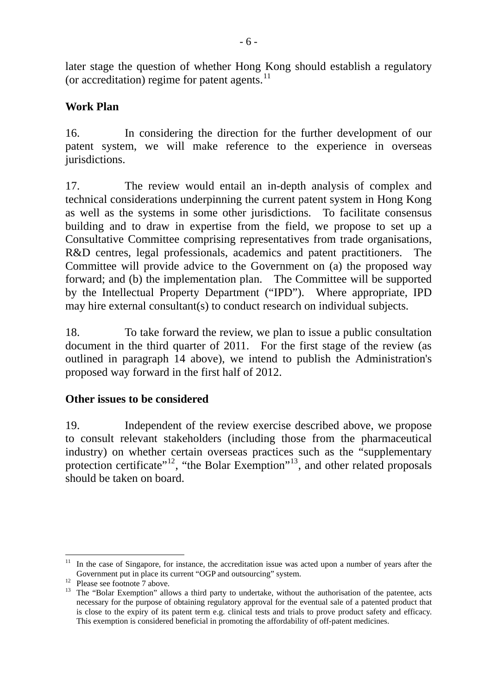later stage the question of whether Hong [Ko](#page-5-0)ng should establish a regulatory (or accreditation) regime for patent agents.<sup>[11](#page-5-0)</sup>

#### **Work Plan**

16. In considering the direction for the further development of our patent system, we will make reference to the experience in overseas jurisdictions.

17. The review would entail an in-depth analysis of complex and technical considerations underpinning the current patent system in Hong Kong as well as the systems in some other jurisdictions. To facilitate consensus building and to draw in expertise from the field, we propose to set up a Consultative Committee comprising representatives from trade organisations, R&D centres, legal professionals, academics and patent practitioners. The Committee will provide advice to the Government on (a) the proposed way forward; and (b) the implementation plan. The Committee will be supported by the Intellectual Property Department ("IPD"). Where appropriate, IPD may hire external consultant(s) to conduct research on individual subjects.

18. To take forward the review, we plan to issue a public consultation document in the third quarter of 2011. For the first stage of the review (as outlined in paragraph 14 above), we intend to publish the Administration's proposed way forward in the first half of 2012.

#### **Other issues to be considered**

19. Independent of the review exercise described above, we propose to consult relevant stakeholders (including those from the pharmaceutical industry) on whether certain overseas practices such as the "supplementary protection certificate"<sup>[12](#page-5-1)</sup>, "the Bolar Exemption"<sup>[13](#page-5-2)</sup>, and other related proposals should be taken on board.

<span id="page-5-0"></span> $\overline{a}$ <sup>11</sup> In the case of Singapore, for instance, the accreditation issue was acted upon a number of years after the Government put in place its current "OGP and outsourcing" system.<br><sup>12</sup> Please see footnote 7 above.

<span id="page-5-1"></span>

<span id="page-5-2"></span><sup>&</sup>lt;sup>13</sup> The "Bolar Exemption" allows a third party to undertake, without the authorisation of the patentee, acts necessary for the purpose of obtaining regulatory approval for the eventual sale of a patented product that is close to the expiry of its patent term e.g. clinical tests and trials to prove product safety and efficacy. This exemption is considered beneficial in promoting the affordability of off-patent medicines.